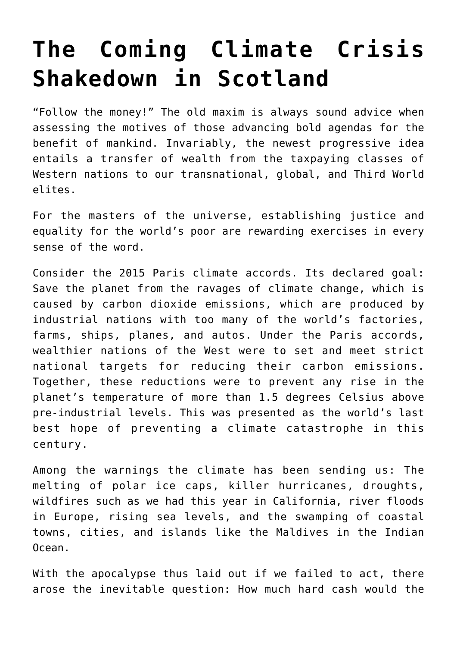## **[The Coming Climate Crisis](https://intellectualtakeout.org/2021/09/the-coming-climate-crisis-shakedown-in-scotland/) [Shakedown in Scotland](https://intellectualtakeout.org/2021/09/the-coming-climate-crisis-shakedown-in-scotland/)**

"Follow the money!" The old maxim is always sound advice when assessing the motives of those advancing bold agendas for the benefit of mankind. Invariably, the newest progressive idea entails a transfer of wealth from the taxpaying classes of Western nations to our transnational, global, and Third World elites.

For the masters of the universe, establishing justice and equality for the world's poor are rewarding exercises in every sense of the word.

Consider the 2015 Paris climate accords. Its declared goal: Save the planet from the ravages of climate change, which is caused by carbon dioxide emissions, which are produced by industrial nations with too many of the world's factories, farms, ships, planes, and autos. Under the Paris accords, wealthier nations of the West were to set and meet strict national targets for reducing their carbon emissions. Together, these reductions were to prevent any rise in the planet's temperature of more than 1.5 degrees Celsius above pre-industrial levels. This was presented as the world's last best hope of preventing a climate catastrophe in this century.

Among the warnings the climate has been sending us: The melting of polar ice caps, killer hurricanes, droughts, wildfires such as we had this year in California, river floods in Europe, rising sea levels, and the swamping of coastal towns, cities, and islands like the Maldives in the Indian Ocean.

With the apocalypse thus laid out if we failed to act, there arose the inevitable question: How much hard cash would the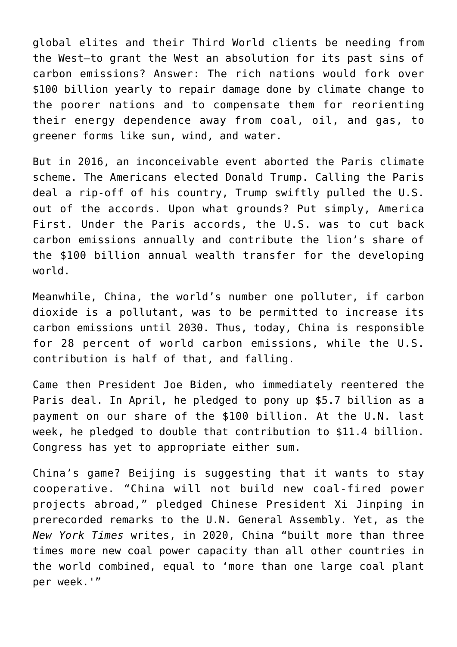global elites and their Third World clients be needing from the West—to grant the West an absolution for its past sins of carbon emissions? Answer: The rich nations would fork over \$100 billion yearly to repair damage done by climate change to the poorer nations and to compensate them for reorienting their energy dependence away from coal, oil, and gas, to greener forms like sun, wind, and water.

But in 2016, an inconceivable event aborted the Paris climate scheme. The Americans elected Donald Trump. Calling the Paris deal a rip-off of his country, Trump swiftly pulled the U.S. out of the accords. Upon what grounds? Put simply, America First. Under the Paris accords, the U.S. was to cut back carbon emissions annually and contribute the lion's share of the \$100 billion annual wealth transfer for the developing world.

Meanwhile, China, the world's number one polluter, if carbon dioxide is a pollutant, was to be permitted to increase its carbon emissions until 2030. Thus, today, China is responsible for 28 percent of world carbon emissions, while the U.S. contribution is half of that, and falling.

Came then President Joe Biden, who immediately reentered the Paris deal. In April, he pledged to pony up \$5.7 billion as a payment on our share of the \$100 billion. At the U.N. last week, he pledged to double that contribution to \$11.4 billion. Congress has yet to appropriate either sum.

China's game? Beijing is suggesting that it wants to stay cooperative. "China will not build new coal-fired power projects abroad," pledged Chinese President Xi Jinping in prerecorded remarks to the U.N. General Assembly. Yet, as the *New York Times* writes, in 2020, China "built more than three times more new coal power capacity than all other countries in the world combined, equal to 'more than one large coal plant per week.'"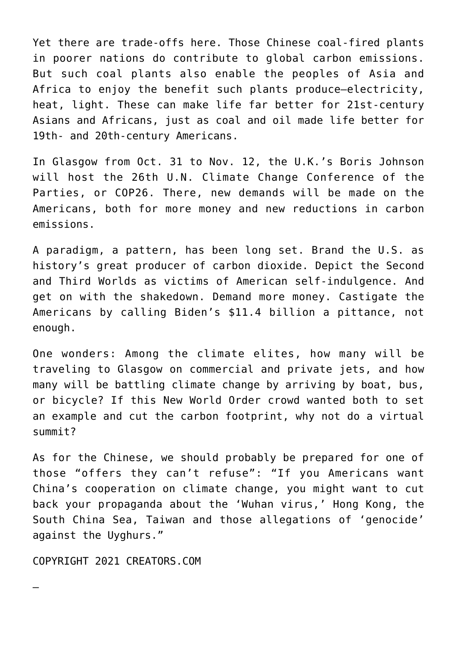Yet there are trade-offs here. Those Chinese coal-fired plants in poorer nations do contribute to global carbon emissions. But such coal plants also enable the peoples of Asia and Africa to enjoy the benefit such plants produce—electricity, heat, light. These can make life far better for 21st-century Asians and Africans, just as coal and oil made life better for 19th- and 20th-century Americans.

In Glasgow from Oct. 31 to Nov. 12, the U.K.'s Boris Johnson will host the 26th U.N. Climate Change Conference of the Parties, or COP26. There, new demands will be made on the Americans, both for more money and new reductions in carbon emissions.

A paradigm, a pattern, has been long set. Brand the U.S. as history's great producer of carbon dioxide. Depict the Second and Third Worlds as victims of American self-indulgence. And get on with the shakedown. Demand more money. Castigate the Americans by calling Biden's \$11.4 billion a pittance, not enough.

One wonders: Among the climate elites, how many will be traveling to Glasgow on commercial and private jets, and how many will be battling climate change by arriving by boat, bus, or bicycle? If this New World Order crowd wanted both to set an example and cut the carbon footprint, why not do a virtual summit?

As for the Chinese, we should probably be prepared for one of those "offers they can't refuse": "If you Americans want China's cooperation on climate change, you might want to cut back your propaganda about the 'Wuhan virus,' Hong Kong, the South China Sea, Taiwan and those allegations of 'genocide' against the Uyghurs."

COPYRIGHT 2021 CREATORS.COM

—